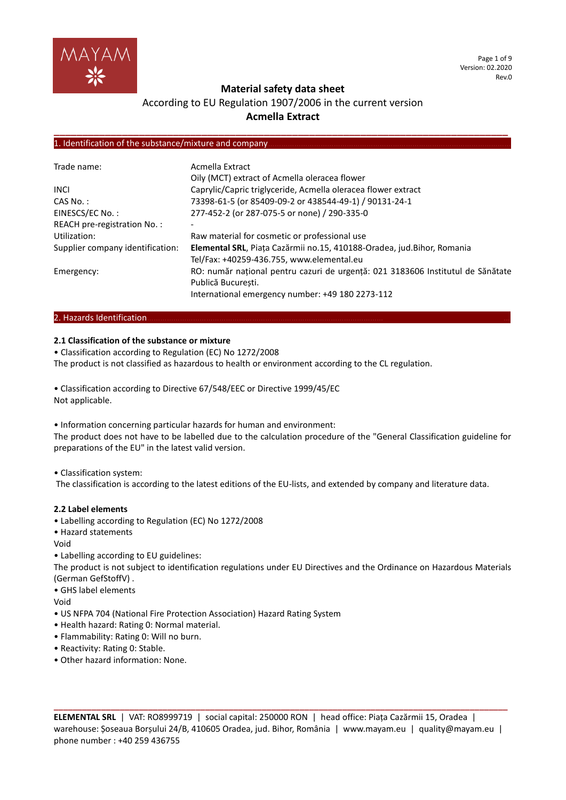

Page 1 of 9 Version: 02.2020 Rev.0

## **Material safety data sheet**

## According to EU Regulation 1907/2006 in the current version **Acmella Extract**

**\_\_\_\_\_\_\_\_\_\_\_\_\_\_\_\_\_\_\_\_\_\_\_\_\_\_\_\_\_\_\_\_\_\_\_\_\_\_\_\_\_\_\_\_\_\_\_\_\_\_\_\_\_\_\_\_\_\_\_\_\_\_\_\_\_\_\_\_\_\_\_\_\_\_\_\_\_\_\_\_**

## 1. Identification of the substance/mixture and company

| Trade name:                      | Acmella Extract                                                                 |
|----------------------------------|---------------------------------------------------------------------------------|
|                                  | Oily (MCT) extract of Acmella oleracea flower                                   |
| <b>INCL</b>                      | Caprylic/Capric triglyceride, Acmella oleracea flower extract                   |
| $CAS No.$ :                      | 73398-61-5 (or 85409-09-2 or 438544-49-1) / 90131-24-1                          |
| EINESCS/EC No.:                  | 277-452-2 (or 287-075-5 or none) / 290-335-0                                    |
| REACH pre-registration No.:      |                                                                                 |
| Utilization:                     | Raw material for cosmetic or professional use                                   |
| Supplier company identification: | Elemental SRL, Piața Cazărmii no.15, 410188-Oradea, jud. Bihor, Romania         |
|                                  | Tel/Fax: +40259-436.755, www.elemental.eu                                       |
| Emergency:                       | RO: număr național pentru cazuri de urgență: 021 3183606 Institutul de Sănătate |
|                                  | Publică Bucuresti.                                                              |
|                                  | International emergency number: +49 180 2273-112                                |

## 2. Hazards Identification...

#### **2.1 Classification of the substance or mixture**

• Classification according to Regulation (EC) No 1272/2008 The product is not classified as hazardous to health or environment according to the CL regulation.

• Classification according to Directive 67/548/EEC or Directive 1999/45/EC Not applicable.

• Information concerning particular hazards for human and environment:

The product does not have to be labelled due to the calculation procedure of the "General Classification guideline for preparations of the EU" in the latest valid version.

#### • Classification system:

The classification is according to the latest editions of the EU-lists, and extended by company and literature data.

#### **2.2 Label elements**

- Labelling according to Regulation (EC) No 1272/2008
- Hazard statements
- Void
- Labelling according to EU guidelines:

The product is not subject to identification regulations under EU Directives and the Ordinance on Hazardous Materials (German GefStoffV) .

- GHS label elements
- Void
- US NFPA 704 (National Fire Protection Association) Hazard Rating System
- Health hazard: Rating 0: Normal material.
- Flammability: Rating 0: Will no burn.
- Reactivity: Rating 0: Stable.
- Other hazard information: None.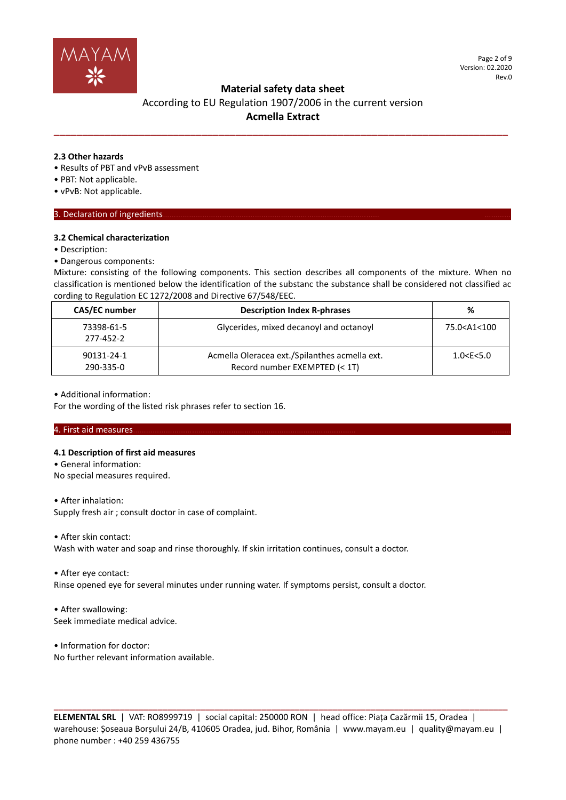

## **Material safety data sheet**

## According to EU Regulation 1907/2006 in the current version **Acmella Extract**

**\_\_\_\_\_\_\_\_\_\_\_\_\_\_\_\_\_\_\_\_\_\_\_\_\_\_\_\_\_\_\_\_\_\_\_\_\_\_\_\_\_\_\_\_\_\_\_\_\_\_\_\_\_\_\_\_\_\_\_\_\_\_\_\_\_\_\_\_\_\_\_\_\_\_\_\_\_\_\_\_**

#### **2.3 Other hazards**

- Results of PBT and vPvB assessment
- PBT: Not applicable.
- vPvB: Not applicable.

## 3. Declaration of ingredients.

### **3.2 Chemical characterization**

• Description:

#### • Dangerous components:

Mixture: consisting of the following components. This section describes all components of the mixture. When no classification is mentioned below the identification of the substanc the substance shall be considered not classified ac cording to Regulation EC 1272/2008 and Directive 67/548/EEC.

| CAS/EC number           | <b>Description Index R-phrases</b>                                             | %                              |
|-------------------------|--------------------------------------------------------------------------------|--------------------------------|
| 73398-61-5<br>277-452-2 | Glycerides, mixed decanoyl and octanoyl                                        | 75.0 <a1<100< td=""></a1<100<> |
| 90131-24-1<br>290-335-0 | Acmella Oleracea ext./Spilanthes acmella ext.<br>Record number EXEMPTED (< 1T) | 1.0 < E < 5.0                  |

#### • Additional information:

For the wording of the listed risk phrases refer to section 16.

## 4. First aid measures………………………………………………………………………………………… ………

## **4.1 Description of first aid measures**

- General information:
- No special measures required.

#### • After inhalation:

Supply fresh air ; consult doctor in case of complaint.

• After skin contact:

Wash with water and soap and rinse thoroughly. If skin irritation continues, consult a doctor.

• After eye contact:

Rinse opened eye for several minutes under running water. If symptoms persist, consult a doctor.

• After swallowing: Seek immediate medical advice.

• Information for doctor: No further relevant information available.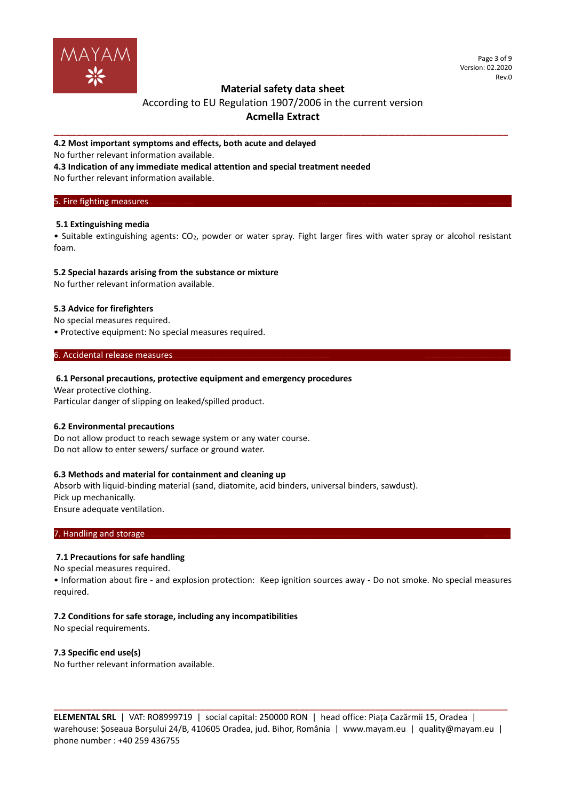

Page 3 of 9 Version: 02.2020 Rev.0

## **Material safety data sheet**

## According to EU Regulation 1907/2006 in the current version **Acmella Extract**

**\_\_\_\_\_\_\_\_\_\_\_\_\_\_\_\_\_\_\_\_\_\_\_\_\_\_\_\_\_\_\_\_\_\_\_\_\_\_\_\_\_\_\_\_\_\_\_\_\_\_\_\_\_\_\_\_\_\_\_\_\_\_\_\_\_\_\_\_\_\_\_\_\_\_\_\_\_\_\_\_**

#### **4.2 Most important symptoms and effects, both acute and delayed**

No further relevant information available.

**4.3 Indication of any immediate medical attention and special treatment needed**

No further relevant information available.

#### 5. Fire fighting measures.

## **5.1 Extinguishing media**

• Suitable extinguishing agents: CO2, powder or water spray. Fight larger fires with water spray or alcohol resistant foam.

#### **5.2 Special hazards arising from the substance or mixture**

No further relevant information available.

## **5.3 Advice for firefighters**

No special measures required.

• Protective equipment: No special measures required.

### 6. Accidental release measures.

### **6.1 Personal precautions, protective equipment and emergency procedures**

Wear protective clothing. Particular danger of slipping on leaked/spilled product.

## **6.2 Environmental precautions**

Do not allow product to reach sewage system or any water course. Do not allow to enter sewers/ surface or ground water.

#### **6.3 Methods and material for containment and cleaning up**

Absorb with liquid-binding material (sand, diatomite, acid binders, universal binders, sawdust). Pick up mechanically. Ensure adequate ventilation.

### 7. Handling and storage

## **7.1 Precautions for safe handling**

No special measures required.

• Information about fire - and explosion protection: Keep ignition sources away - Do not smoke. No special measures required.

## **7.2 Conditions for safe storage, including any incompatibilities**

No special requirements.

## **7.3 Specific end use(s)**

No further relevant information available.

**ELEMENTAL SRL** | VAT: RO8999719 | social capital: 250000 RON | head office: Piața Cazărmii 15, Oradea | warehouse: Șoseaua Borșului 24/B, 410605 Oradea, jud. Bihor, România | www.mayam.eu | quality@mayam.eu | phone number : +40 259 436755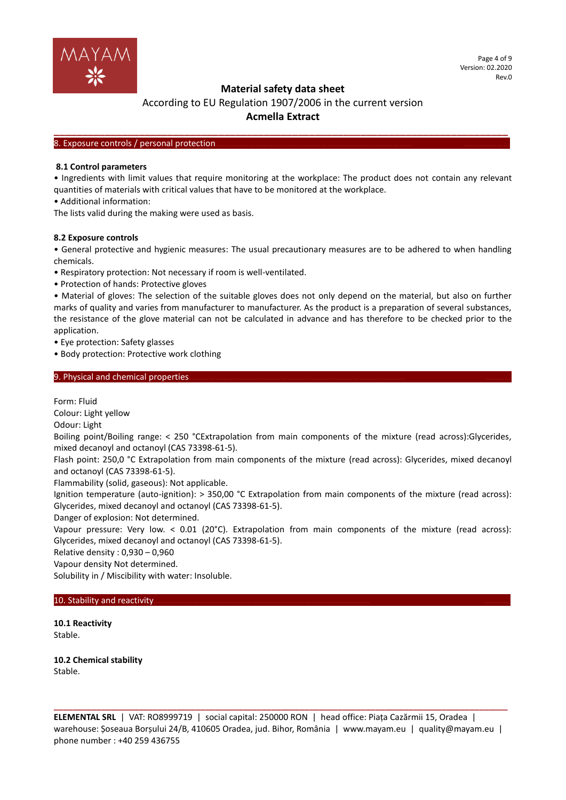

## **Material safety data sheet**

## According to EU Regulation 1907/2006 in the current version **Acmella Extract**

**\_\_\_\_\_\_\_\_\_\_\_\_\_\_\_\_\_\_\_\_\_\_\_\_\_\_\_\_\_\_\_\_\_\_\_\_\_\_\_\_\_\_\_\_\_\_\_\_\_\_\_\_\_\_\_\_\_\_\_\_\_\_\_\_\_\_\_\_\_\_\_\_\_\_\_\_\_\_\_\_**

#### 8. Exposure controls / personal protection

#### **8.1 Control parameters**

• Ingredients with limit values that require monitoring at the workplace: The product does not contain any relevant quantities of materials with critical values that have to be monitored at the workplace.

• Additional information:

The lists valid during the making were used as basis.

#### **8.2 Exposure controls**

• General protective and hygienic measures: The usual precautionary measures are to be adhered to when handling chemicals.

- Respiratory protection: Not necessary if room is well-ventilated.
- Protection of hands: Protective gloves

• Material of gloves: The selection of the suitable gloves does not only depend on the material, but also on further marks of quality and varies from manufacturer to manufacturer. As the product is a preparation of several substances, the resistance of the glove material can not be calculated in advance and has therefore to be checked prior to the application.

• Eye protection: Safety glasses

• Body protection: Protective work clothing

## 9. Physical and chemical properties

Form: Fluid

Colour: Light yellow

Odour: Light

Boiling point/Boiling range: < 250 °CExtrapolation from main components of the mixture (read across):Glycerides, mixed decanoyl and octanoyl (CAS 73398-61-5).

Flash point: 250,0 °C Extrapolation from main components of the mixture (read across): Glycerides, mixed decanoyl and octanoyl (CAS 73398-61-5).

Flammability (solid, gaseous): Not applicable.

Ignition temperature (auto-ignition): > 350,00 °C Extrapolation from main components of the mixture (read across): Glycerides, mixed decanoyl and octanoyl (CAS 73398-61-5).

Danger of explosion: Not determined.

Vapour pressure: Very low. < 0.01 (20°C). Extrapolation from main components of the mixture (read across): Glycerides, mixed decanoyl and octanoyl (CAS 73398-61-5).

Relative density : 0,930 – 0,960

Vapour density Not determined.

Solubility in / Miscibility with water: Insoluble.

#### 10. Stability and reactivity.

**10.1 Reactivity** Stable.

**10.2 Chemical stability** Stable.

**ELEMENTAL SRL** | VAT: RO8999719 | social capital: 250000 RON | head office: Piața Cazărmii 15, Oradea | warehouse: Șoseaua Borșului 24/B, 410605 Oradea, jud. Bihor, România | www.mayam.eu | quality@mayam.eu | phone number : +40 259 436755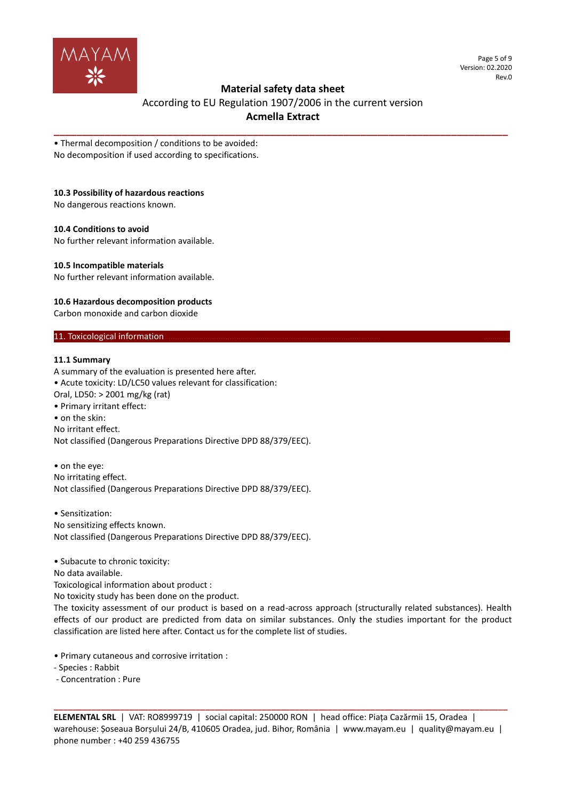

Page 5 of 9 Version: 02.2020 Rev.0

## **Material safety data sheet**

According to EU Regulation 1907/2006 in the current version **Acmella Extract**

**\_\_\_\_\_\_\_\_\_\_\_\_\_\_\_\_\_\_\_\_\_\_\_\_\_\_\_\_\_\_\_\_\_\_\_\_\_\_\_\_\_\_\_\_\_\_\_\_\_\_\_\_\_\_\_\_\_\_\_\_\_\_\_\_\_\_\_\_\_\_\_\_\_\_\_\_\_\_\_\_**

• Thermal decomposition / conditions to be avoided: No decomposition if used according to specifications.

## **10.3 Possibility of hazardous reactions**

No dangerous reactions known.

#### **10.4 Conditions to avoid**

No further relevant information available.

#### **10.5 Incompatible materials**

No further relevant information available.

#### **10.6 Hazardous decomposition products**

Carbon monoxide and carbon dioxide

### 11. Toxicological information.

#### **11.1 Summary**

A summary of the evaluation is presented here after. • Acute toxicity: LD/LC50 values relevant for classification: Oral, LD50: > 2001 mg/kg (rat) • Primary irritant effect: • on the skin: No irritant effect. Not classified (Dangerous Preparations Directive DPD 88/379/EEC).

• on the eye: No irritating effect. Not classified (Dangerous Preparations Directive DPD 88/379/EEC).

• Sensitization: No sensitizing effects known. Not classified (Dangerous Preparations Directive DPD 88/379/EEC).

• Subacute to chronic toxicity:

No data available.

Toxicological information about product :

No toxicity study has been done on the product.

The toxicity assessment of our product is based on a read-across approach (structurally related substances). Health effects of our product are predicted from data on similar substances. Only the studies important for the product classification are listed here after. Contact us for the complete list of studies.

• Primary cutaneous and corrosive irritation :

- Species : Rabbit

- Concentration : Pure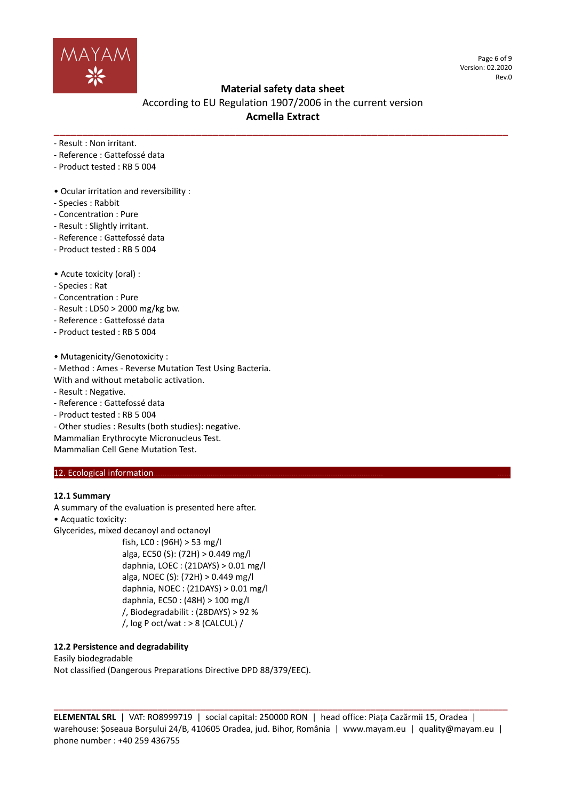

Page 6 of 9 Version: 02.2020 Rev.0

## **Material safety data sheet**

According to EU Regulation 1907/2006 in the current version **Acmella Extract**

**\_\_\_\_\_\_\_\_\_\_\_\_\_\_\_\_\_\_\_\_\_\_\_\_\_\_\_\_\_\_\_\_\_\_\_\_\_\_\_\_\_\_\_\_\_\_\_\_\_\_\_\_\_\_\_\_\_\_\_\_\_\_\_\_\_\_\_\_\_\_\_\_\_\_\_\_\_\_\_\_**

- Result : Non irritant.

- Reference : Gattefossé data
- Product tested : RB 5 004
- Ocular irritation and reversibility :
- Species : Rabbit
- Concentration : Pure
- Result : Slightly irritant.
- Reference : Gattefossé data
- Product tested : RB 5 004
- Acute toxicity (oral) :
- Species : Rat
- Concentration : Pure
- Result : LD50 > 2000 mg/kg bw.
- Reference : Gattefossé data
- Product tested : RB 5 004

• Mutagenicity/Genotoxicity :

- Method : Ames - Reverse Mutation Test Using Bacteria.

- With and without metabolic activation.
- Result : Negative.
- Reference : Gattefossé data
- Product tested : RB 5 004

- Other studies : Results (both studies): negative. Mammalian Erythrocyte Micronucleus Test. Mammalian Cell Gene Mutation Test.

## 12. Ecological information.

## **12.1 Summary**

A summary of the evaluation is presented here after.

• Acquatic toxicity:

Glycerides, mixed decanoyl and octanoyl

fish, LC0 : (96H) > 53 mg/l alga, EC50 (S): (72H) > 0.449 mg/l daphnia, LOEC : (21DAYS) > 0.01 mg/l alga, NOEC (S): (72H) > 0.449 mg/l daphnia, NOEC : (21DAYS) > 0.01 mg/l daphnia, EC50 : (48H) > 100 mg/l /, Biodegradabilit : (28DAYS) > 92 %  $/$ , log P oct/wat : > 8 (CALCUL) /

## **12.2 Persistence and degradability**

Easily biodegradable Not classified (Dangerous Preparations Directive DPD 88/379/EEC).

**ELEMENTAL SRL** | VAT: RO8999719 | social capital: 250000 RON | head office: Piața Cazărmii 15, Oradea | warehouse: Șoseaua Borșului 24/B, 410605 Oradea, jud. Bihor, România | www.mayam.eu | quality@mayam.eu | phone number : +40 259 436755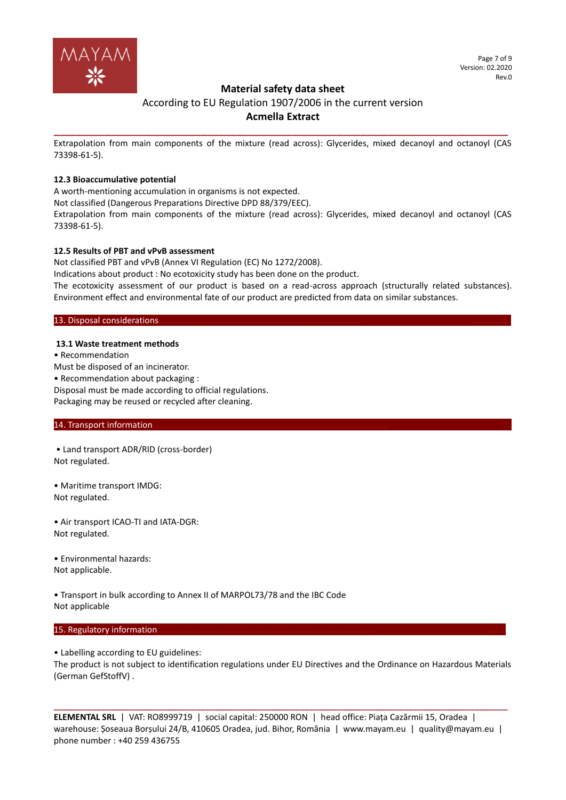

## **Material safety data sheet**

## According to EU Regulation 1907/2006 in the current version **Acmella Extract**

**\_\_\_\_\_\_\_\_\_\_\_\_\_\_\_\_\_\_\_\_\_\_\_\_\_\_\_\_\_\_\_\_\_\_\_\_\_\_\_\_\_\_\_\_\_\_\_\_\_\_\_\_\_\_\_\_\_\_\_\_\_\_\_\_\_\_\_\_\_\_\_\_\_\_\_\_\_\_\_\_** Extrapolation from main components of the mixture (read across): Glycerides, mixed decanoyl and octanoyl (CAS 73398-61-5).

## **12.3 Bioaccumulative potential**

A worth-mentioning accumulation in organisms is not expected.

Not classified (Dangerous Preparations Directive DPD 88/379/EEC).

Extrapolation from main components of the mixture (read across): Glycerides, mixed decanoyl and octanoyl (CAS 73398-61-5).

#### **12.5 Results of PBT and vPvB assessment**

Not classified PBT and vPvB (Annex VI Regulation (EC) No 1272/2008).

Indications about product : No ecotoxicity study has been done on the product.

The ecotoxicity assessment of our product is based on a read-across approach (structurally related substances). Environment effect and environmental fate of our product are predicted from data on similar substances.

### 13. Disposal considerations.

#### **13.1 Waste treatment methods**

• Recommendation

Must be disposed of an incinerator.

• Recommendation about packaging :

Disposal must be made according to official regulations.

Packaging may be reused or recycled after cleaning.

### 14. Transport information.

• Land transport ADR/RID (cross-border) Not regulated.

• Maritime transport IMDG: Not regulated.

• Air transport ICAO-TI and IATA-DGR: Not regulated.

• Environmental hazards: Not applicable.

• Transport in bulk according to Annex II of MARPOL73/78 and the IBC Code Not applicable

## 15. Regulatory information.

• Labelling according to EU guidelines:

The product is not subject to identification regulations under EU Directives and the Ordinance on Hazardous Materials (German GefStoffV) .

**ELEMENTAL SRL** | VAT: RO8999719 | social capital: 250000 RON | head office: Piața Cazărmii 15, Oradea | warehouse: Șoseaua Borșului 24/B, 410605 Oradea, jud. Bihor, România | www.mayam.eu | quality@mayam.eu | phone number : +40 259 436755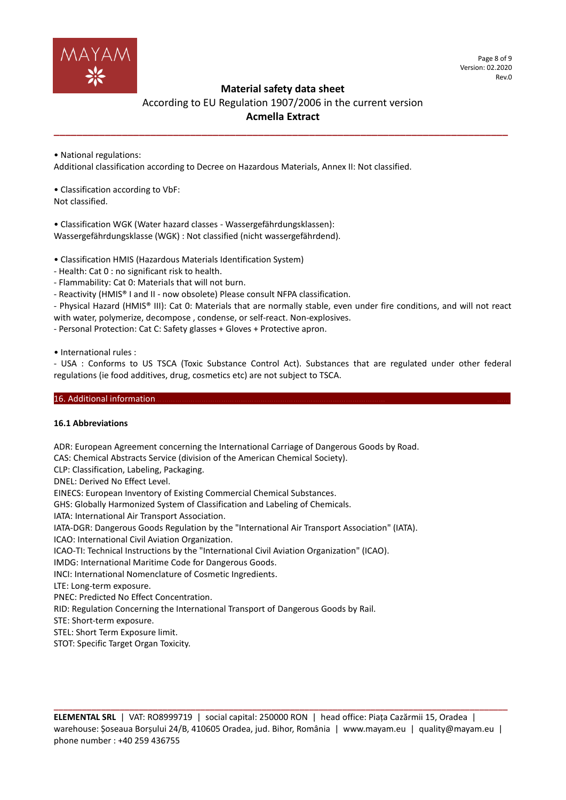

Page 8 of 9 Version: 02.2020 Rev.0

## **Material safety data sheet**

According to EU Regulation 1907/2006 in the current version **Acmella Extract**

**\_\_\_\_\_\_\_\_\_\_\_\_\_\_\_\_\_\_\_\_\_\_\_\_\_\_\_\_\_\_\_\_\_\_\_\_\_\_\_\_\_\_\_\_\_\_\_\_\_\_\_\_\_\_\_\_\_\_\_\_\_\_\_\_\_\_\_\_\_\_\_\_\_\_\_\_\_\_\_\_**

• National regulations:

Additional classification according to Decree on Hazardous Materials, Annex II: Not classified.

• Classification according to VbF: Not classified.

• Classification WGK (Water hazard classes - Wassergefährdungsklassen): Wassergefährdungsklasse (WGK) : Not classified (nicht wassergefährdend).

• Classification HMIS (Hazardous Materials Identification System)

- Health: Cat 0 : no significant risk to health.

- Flammability: Cat 0: Materials that will not burn.

- Reactivity (HMIS® I and II - now obsolete) Please consult NFPA classification.

- Physical Hazard (HMIS® III): Cat 0: Materials that are normally stable, even under fire conditions, and will not react with water, polymerize, decompose , condense, or self-react. Non-explosives.

- Personal Protection: Cat C: Safety glasses + Gloves + Protective apron.

• International rules :

- USA : Conforms to US TSCA (Toxic Substance Control Act). Substances that are regulated under other federal regulations (ie food additives, drug, cosmetics etc) are not subject to TSCA.

## 16. Additional information

#### **16.1 Abbreviations**

ADR: European Agreement concerning the International Carriage of Dangerous Goods by Road.

CAS: Chemical Abstracts Service (division of the American Chemical Society).

CLP: Classification, Labeling, Packaging.

DNEL: Derived No Effect Level.

EINECS: European Inventory of Existing Commercial Chemical Substances.

GHS: Globally Harmonized System of Classification and Labeling of Chemicals.

IATA: International Air Transport Association.

IATA-DGR: Dangerous Goods Regulation by the "International Air Transport Association" (IATA).

ICAO: International Civil Aviation Organization.

ICAO-TI: Technical Instructions by the "International Civil Aviation Organization" (ICAO).

IMDG: International Maritime Code for Dangerous Goods.

INCI: International Nomenclature of Cosmetic Ingredients.

LTE: Long-term exposure.

PNEC: Predicted No Effect Concentration.

RID: Regulation Concerning the International Transport of Dangerous Goods by Rail.

STE: Short-term exposure.

STEL: Short Term Exposure limit.

STOT: Specific Target Organ Toxicity.